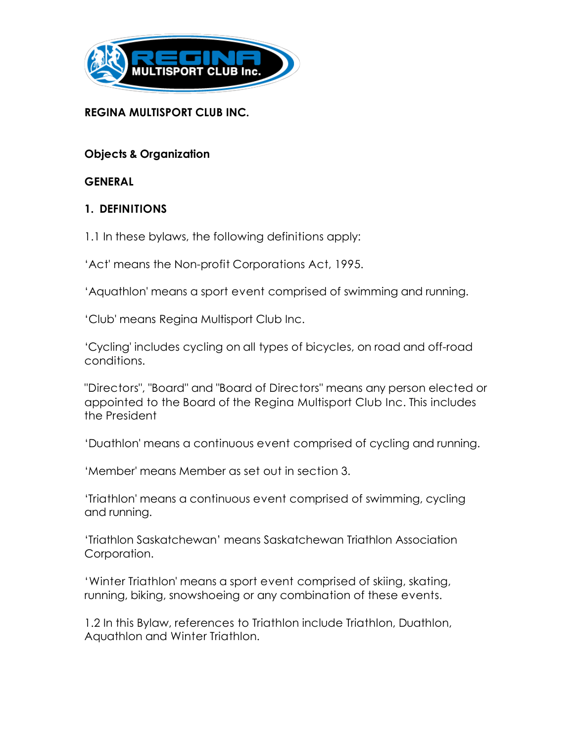

#### **REGINA MULTISPORT CLUB INC.**

**Objects & Organization**

**GENERAL**

### **1. DEFINITIONS**

1.1 In these bylaws, the following definitions apply:

'Act' means the Non-profit Corporations Act, 1995.

'Aquathlon' means a sport event comprised of swimming and running.

'Club' means Regina Multisport Club Inc.

'Cycling' includes cycling on all types of bicycles, on road and off-road conditions.

"Directors", "Board" and "Board of Directors" means any person elected or appointed to the Board of the Regina Multisport Club Inc. This includes the President

'Duathlon' means a continuous event comprised of cycling and running.

'Member' means Member as set out in section 3.

'Triathlon' means a continuous event comprised of swimming, cycling and running.

'Triathlon Saskatchewan' means Saskatchewan Triathlon Association Corporation.

'Winter Triathlon' means a sport event comprised of skiing, skating, running, biking, snowshoeing or any combination of these events.

1.2 In this Bylaw, references to Triathlon include Triathlon, Duathlon, Aquathlon and Winter Triathlon.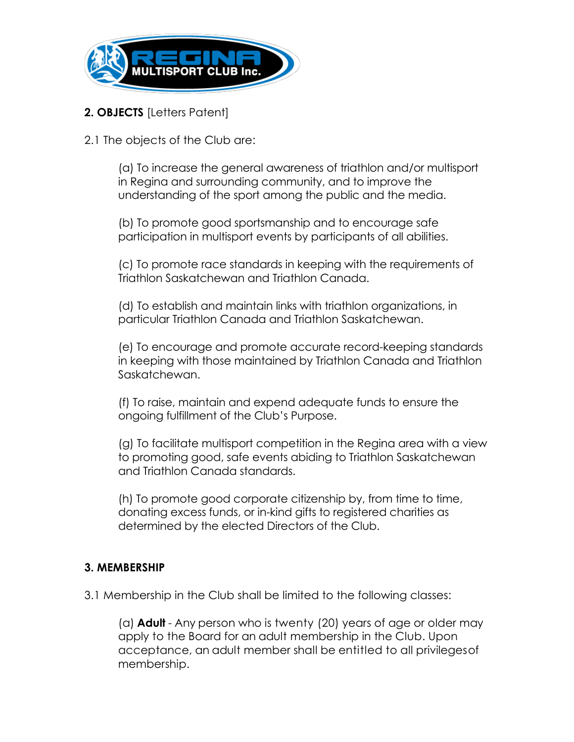

# **2. OBJECTS** [Letters Patent]

2.1 The objects of the Club are:

(a) To increase the general awareness of triathlon and/or multisport in Regina and surrounding community, and to improve the understanding of the sport among the public and the media.

(b) To promote good sportsmanship and to encourage safe participation in multisport events by participants of all abilities.

(c) To promote race standards in keeping with the requirements of Triathlon Saskatchewan and Triathlon Canada.

(d) To establish and maintain links with triathlon organizations, in particular Triathlon Canada and Triathlon Saskatchewan.

(e) To encourage and promote accurate record-keeping standards in keeping with those maintained by Triathlon Canada and Triathlon Saskatchewan.

(f) To raise, maintain and expend adequate funds to ensure the ongoing fulfillment of the Club's Purpose.

(g) To facilitate multisport competition in the Regina area with a view to promoting good, safe events abiding to Triathlon Saskatchewan and Triathlon Canada standards.

(h) To promote good corporate citizenship by, from time to time, donating excess funds, or in-kind gifts to registered charities as determined by the elected Directors of the Club.

#### **3. MEMBERSHIP**

3.1 Membership in the Club shall be limited to the following classes:

(a) **Adult** - Any person who is twenty (20) years of age or older may apply to the Board for an adult membership in the Club. Upon acceptance, an adult member shall be entitled to all privilegesof membership.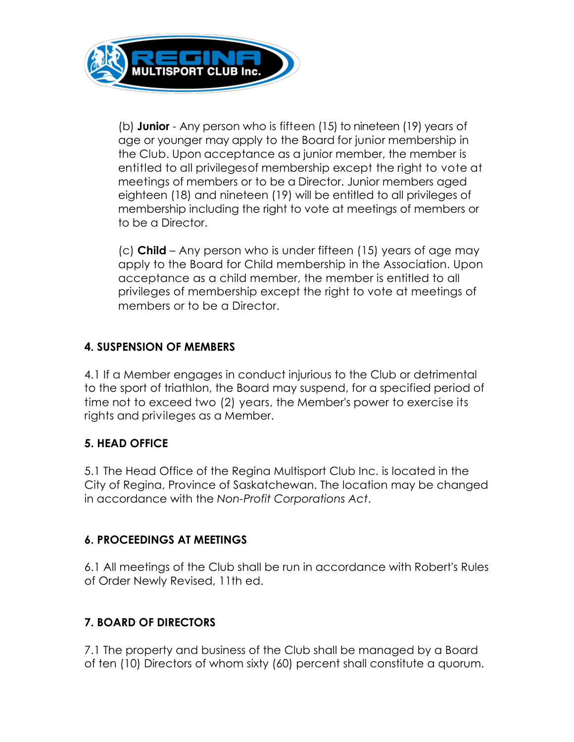

(b) **Junior** - Any person who is fifteen (15) to nineteen (19) years of age or younger may apply to the Board for junior membership in the Club. Upon acceptance as a junior member, the member is entitled to all privilegesof membership except the right to vote at meetings of members or to be a Director. Junior members aged eighteen (18) and nineteen (19) will be entitled to all privileges of membership including the right to vote at meetings of members or to be a Director.

(c) **Child** – Any person who is under fifteen (15) years of age may apply to the Board for Child membership in the Association. Upon acceptance as a child member, the member is entitled to all privileges of membership except the right to vote at meetings of members or to be a Director.

# **4. SUSPENSION OF MEMBERS**

4.1 If a Member engages in conduct injurious to the Club or detrimental to the sport of triathlon, the Board may suspend, for a specified period of time not to exceed two (2) years, the Member's power to exercise its rights and privileges as a Member.

#### **5. HEAD OFFICE**

5.1 The Head Office of the Regina Multisport Club Inc. is located in the City of Regina, Province of Saskatchewan. The location may be changed in accordance with the *Non-Profit Corporations Act*.

#### **6. PROCEEDINGS AT MEETINGS**

6.1 All meetings of the Club shall be run in accordance with Robert's Rules of Order Newly Revised, 11th ed.

# **7. BOARD OF DIRECTORS**

7.1 The property and business of the Club shall be managed by a Board of ten (10) Directors of whom sixty (60) percent shall constitute a quorum.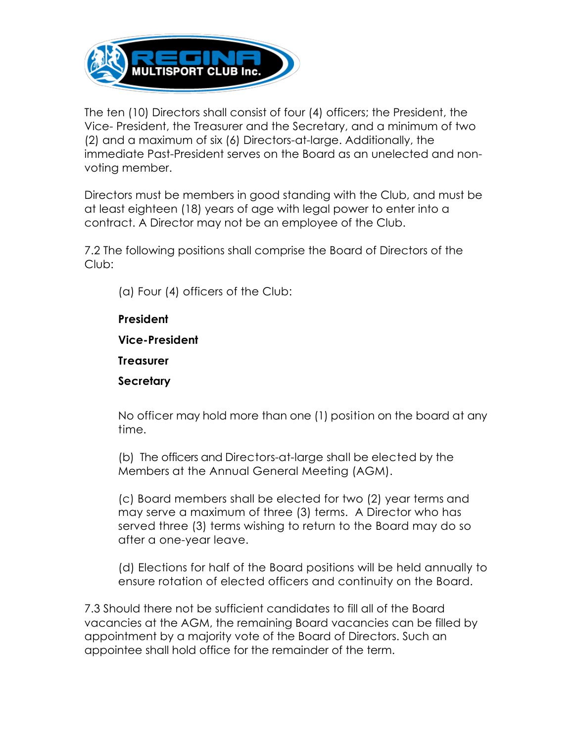

The ten (10) Directors shall consist of four (4) officers; the President, the Vice- President, the Treasurer and the Secretary, and a minimum of two (2) and a maximum of six (6) Directors-at-large. Additionally, the immediate Past-President serves on the Board as an unelected and nonvoting member.

Directors must be members in good standing with the Club, and must be at least eighteen (18) years of age with legal power to enter into a contract. A Director may not be an employee of the Club.

7.2 The following positions shall comprise the Board of Directors of the Club:

(a) Four (4) officers of the Club:

**President Vice-President Treasurer Secretary**

No officer may hold more than one (1) position on the board at any time.

(b) The officers and Directors-at-large shall be elected by the Members at the Annual General Meeting (AGM).

(c) Board members shall be elected for two (2) year terms and may serve a maximum of three (3) terms. A Director who has served three (3) terms wishing to return to the Board may do so after a one-year leave.

(d) Elections for half of the Board positions will be held annually to ensure rotation of elected officers and continuity on the Board.

7.3 Should there not be sufficient candidates to fill all of the Board vacancies at the AGM, the remaining Board vacancies can be filled by appointment by a majority vote of the Board of Directors. Such an appointee shall hold office for the remainder of the term.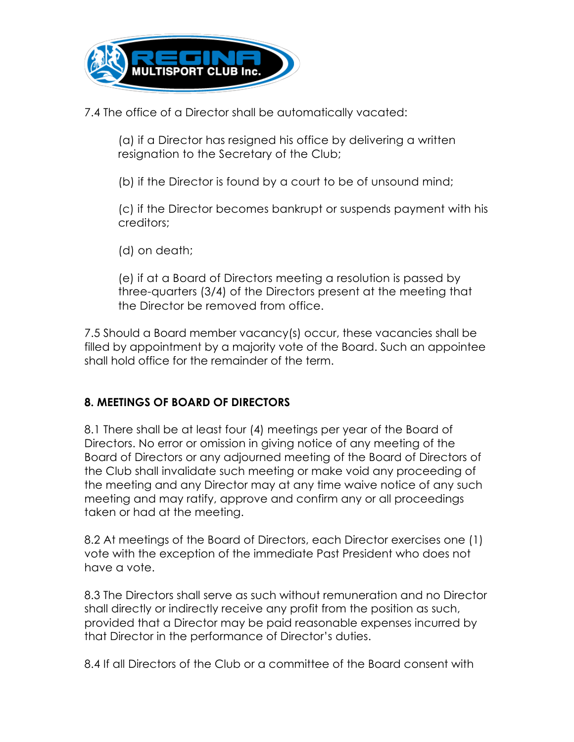

7.4 The office of a Director shall be automatically vacated:

(a) if a Director has resigned his office by delivering a written resignation to the Secretary of the Club;

(b) if the Director is found by a court to be of unsound mind;

(c) if the Director becomes bankrupt or suspends payment with his creditors;

(d) on death;

(e) if at a Board of Directors meeting a resolution is passed by three-quarters (3/4) of the Directors present at the meeting that the Director be removed from office.

7.5 Should a Board member vacancy(s) occur, these vacancies shall be filled by appointment by a majority vote of the Board. Such an appointee shall hold office for the remainder of the term.

# **8. MEETINGS OF BOARD OF DIRECTORS**

8.1 There shall be at least four (4) meetings per year of the Board of Directors. No error or omission in giving notice of any meeting of the Board of Directors or any adjourned meeting of the Board of Directors of the Club shall invalidate such meeting or make void any proceeding of the meeting and any Director may at any time waive notice of any such meeting and may ratify, approve and confirm any or all proceedings taken or had at the meeting.

8.2 At meetings of the Board of Directors, each Director exercises one (1) vote with the exception of the immediate Past President who does not have a vote.

8.3 The Directors shall serve as such without remuneration and no Director shall directly or indirectly receive any profit from the position as such, provided that a Director may be paid reasonable expenses incurred by that Director in the performance of Director's duties.

8.4 If all Directors of the Club or a committee of the Board consent with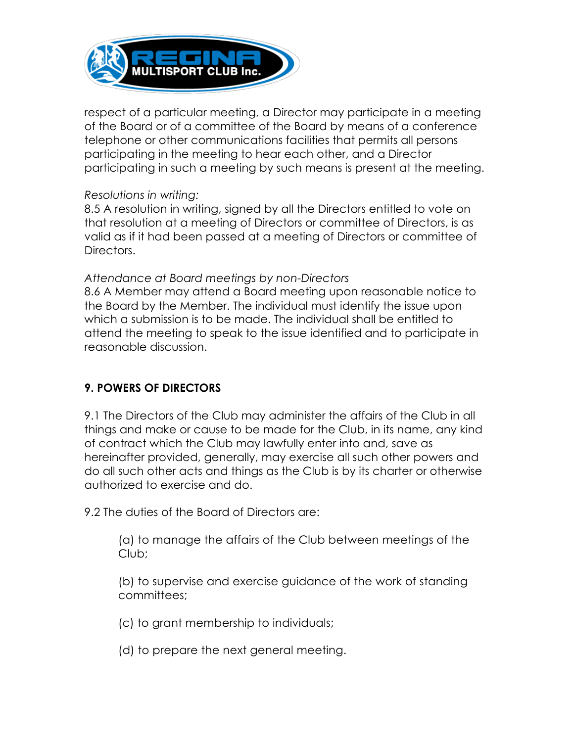

respect of a particular meeting, a Director may participate in a meeting of the Board or of a committee of the Board by means of a conference telephone or other communications facilities that permits all persons participating in the meeting to hear each other, and a Director participating in such a meeting by such means is present at the meeting.

#### *Resolutions in writing:*

8.5 A resolution in writing, signed by all the Directors entitled to vote on that resolution at a meeting of Directors or committee of Directors, is as valid as if it had been passed at a meeting of Directors or committee of Directors.

#### *Attendance at Board meetings by non-Directors*

8.6 A Member may attend a Board meeting upon reasonable notice to the Board by the Member. The individual must identify the issue upon which a submission is to be made. The individual shall be entitled to attend the meeting to speak to the issue identified and to participate in reasonable discussion.

# **9. POWERS OF DIRECTORS**

9.1 The Directors of the Club may administer the affairs of the Club in all things and make or cause to be made for the Club, in its name, any kind of contract which the Club may lawfully enter into and, save as hereinafter provided, generally, may exercise all such other powers and do all such other acts and things as the Club is by its charter or otherwise authorized to exercise and do.

9.2 The duties of the Board of Directors are:

(a) to manage the affairs of the Club between meetings of the Club;

(b) to supervise and exercise guidance of the work of standing committees;

(c) to grant membership to individuals;

(d) to prepare the next general meeting.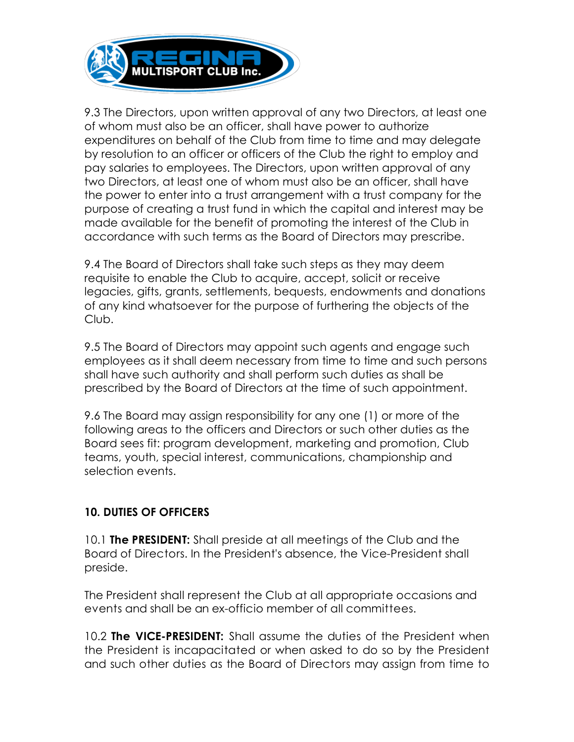

9.3 The Directors, upon written approval of any two Directors, at least one of whom must also be an officer, shall have power to authorize expenditures on behalf of the Club from time to time and may delegate by resolution to an officer or officers of the Club the right to employ and pay salaries to employees. The Directors, upon written approval of any two Directors, at least one of whom must also be an officer, shall have the power to enter into a trust arrangement with a trust company for the purpose of creating a trust fund in which the capital and interest may be made available for the benefit of promoting the interest of the Club in accordance with such terms as the Board of Directors may prescribe.

9.4 The Board of Directors shall take such steps as they may deem requisite to enable the Club to acquire, accept, solicit or receive legacies, gifts, grants, settlements, bequests, endowments and donations of any kind whatsoever for the purpose of furthering the objects of the Club.

9.5 The Board of Directors may appoint such agents and engage such employees as it shall deem necessary from time to time and such persons shall have such authority and shall perform such duties as shall be prescribed by the Board of Directors at the time of such appointment.

9.6 The Board may assign responsibility for any one (1) or more of the following areas to the officers and Directors or such other duties as the Board sees fit: program development, marketing and promotion, Club teams, youth, special interest, communications, championship and selection events.

# **10. DUTIES OF OFFICERS**

10.1 **The PRESIDENT:** Shall preside at all meetings of the Club and the Board of Directors. In the President's absence, the Vice-President shall preside.

The President shall represent the Club at all appropriate occasions and events and shall be an ex-officio member of all committees.

10.2 **The VICE-PRESIDENT:** Shall assume the duties of the President when the President is incapacitated or when asked to do so by the President and such other duties as the Board of Directors may assign from time to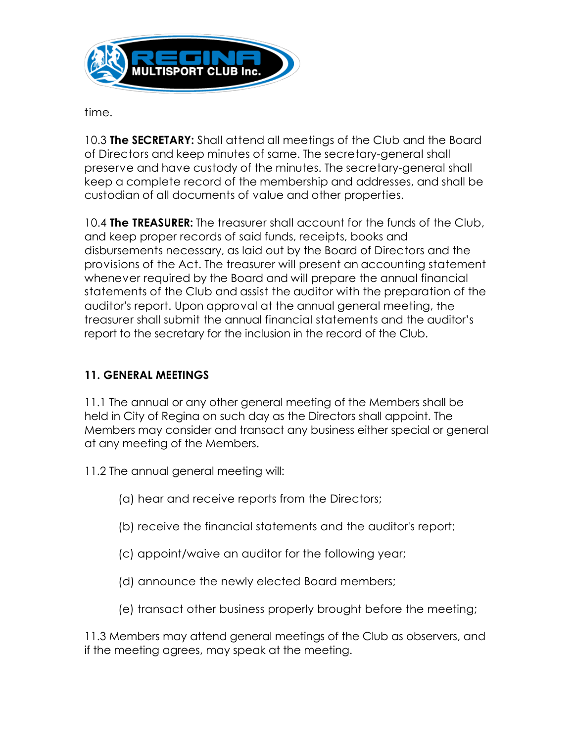

time.

10.3 **The SECRETARY:** Shall attend all meetings of the Club and the Board of Directors and keep minutes of same. The secretary-general shall preserve and have custody of the minutes. The secretary-general shall keep a complete record of the membership and addresses, and shall be custodian of all documents of value and other properties.

10.4 **The TREASURER:** The treasurer shall account for the funds of the Club, and keep proper records of said funds, receipts, books and disbursements necessary, as laid out by the Board of Directors and the provisions of the Act. The treasurer will present an accounting statement whenever required by the Board and will prepare the annual financial statements of the Club and assist the auditor with the preparation of the auditor's report. Upon approval at the annual general meeting, the treasurer shall submit the annual financial statements and the auditor's report to the secretary for the inclusion in the record of the Club.

# **11. GENERAL MEETINGS**

11.1 The annual or any other general meeting of the Members shall be held in City of Regina on such day as the Directors shall appoint. The Members may consider and transact any business either special or general at any meeting of the Members.

- 11.2 The annual general meeting will:
	- (a) hear and receive reports from the Directors;
	- (b) receive the financial statements and the auditor's report;
	- (c) appoint/waive an auditor for the following year;
	- (d) announce the newly elected Board members;
	- (e) transact other business properly brought before the meeting;

11.3 Members may attend general meetings of the Club as observers, and if the meeting agrees, may speak at the meeting.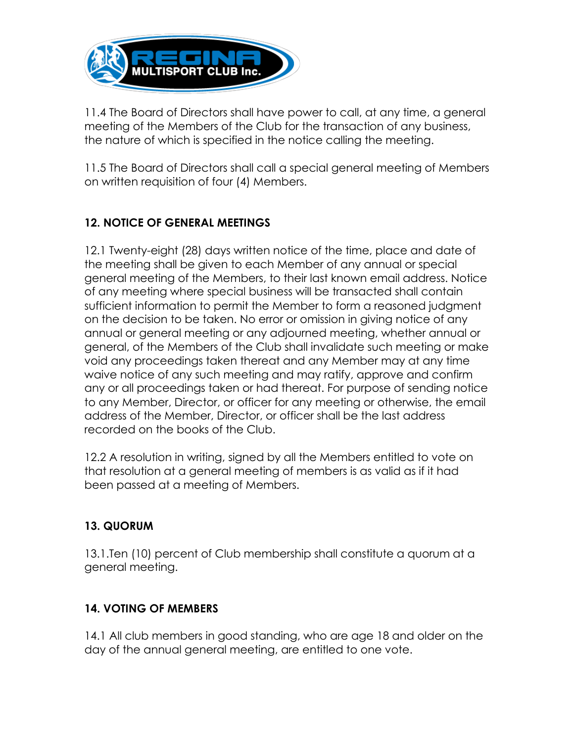

11.4 The Board of Directors shall have power to call, at any time, a general meeting of the Members of the Club for the transaction of any business, the nature of which is specified in the notice calling the meeting.

11.5 The Board of Directors shall call a special general meeting of Members on written requisition of four (4) Members.

# **12. NOTICE OF GENERAL MEETINGS**

12.1 Twenty-eight (28) days written notice of the time, place and date of the meeting shall be given to each Member of any annual or special general meeting of the Members, to their last known email address. Notice of any meeting where special business will be transacted shall contain sufficient information to permit the Member to form a reasoned judgment on the decision to be taken. No error or omission in giving notice of any annual or general meeting or any adjourned meeting, whether annual or general, of the Members of the Club shall invalidate such meeting or make void any proceedings taken thereat and any Member may at any time waive notice of any such meeting and may ratify, approve and confirm any or all proceedings taken or had thereat. For purpose of sending notice to any Member, Director, or officer for any meeting or otherwise, the email address of the Member, Director, or officer shall be the last address recorded on the books of the Club.

12.2 A resolution in writing, signed by all the Members entitled to vote on that resolution at a general meeting of members is as valid as if it had been passed at a meeting of Members.

#### **13. QUORUM**

13.1.Ten (10) percent of Club membership shall constitute a quorum at a general meeting.

# **14. VOTING OF MEMBERS**

14.1 All club members in good standing, who are age 18 and older on the day of the annual general meeting, are entitled to one vote.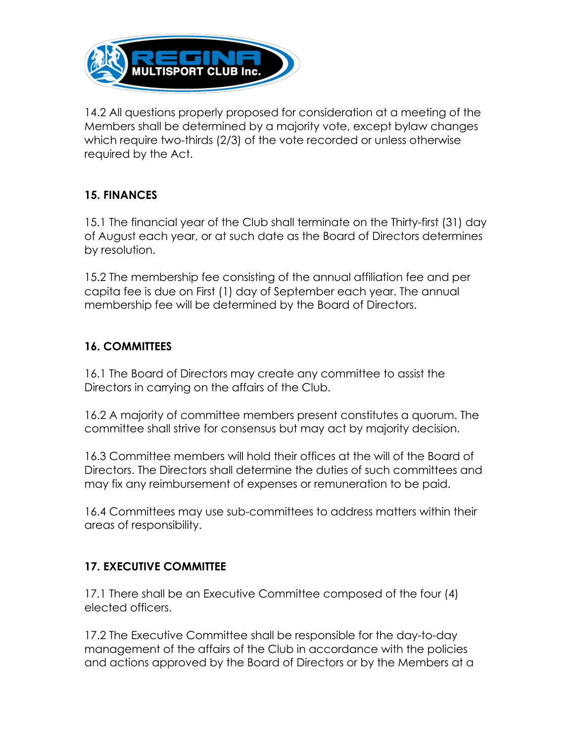

14.2 All questions properly proposed for consideration at a meeting of the Members shall be determined by a majority vote, except bylaw changes which require two-thirds (2/3) of the vote recorded or unless otherwise required by the Act.

# **15. FINANCES**

15.1 The financial year of the Club shall terminate on the Thirty-first (31) day of August each year, or at such date as the Board of Directors determines by resolution.

15.2 The membership fee consisting of the annual affiliation fee and per capita fee is due on First (1) day of September each year. The annual membership fee will be determined by the Board of Directors.

# **16. COMMITTEES**

16.1 The Board of Directors may create any committee to assist the Directors in carrying on the affairs of the Club.

16.2 A majority of committee members present constitutes a quorum. The committee shall strive for consensus but may act by majority decision.

16.3 Committee members will hold their offices at the will of the Board of Directors. The Directors shall determine the duties of such committees and may fix any reimbursement of expenses or remuneration to be paid.

16.4 Committees may use sub-committees to address matters within their areas of responsibility.

# **17. EXECUTIVE COMMITTEE**

17.1 There shall be an Executive Committee composed of the four (4) elected officers.

17.2 The Executive Committee shall be responsible for the day-to-day management of the affairs of the Club in accordance with the policies and actions approved by the Board of Directors or by the Members at a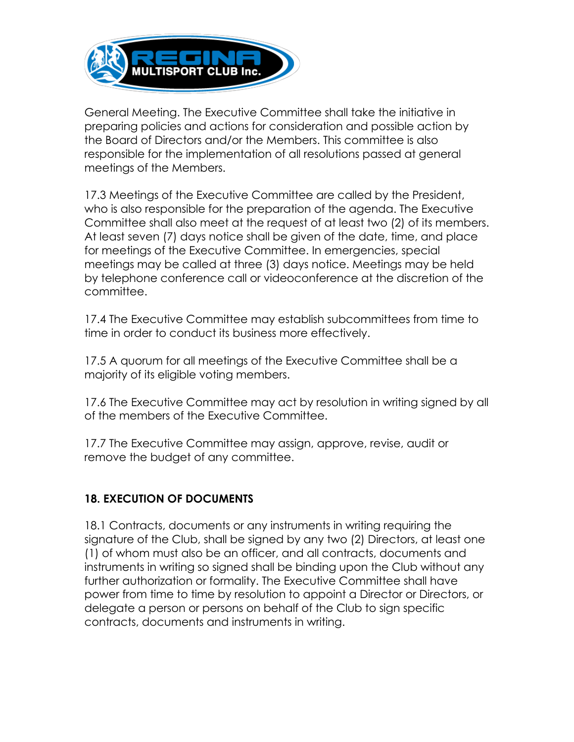

General Meeting. The Executive Committee shall take the initiative in preparing policies and actions for consideration and possible action by the Board of Directors and/or the Members. This committee is also responsible for the implementation of all resolutions passed at general meetings of the Members.

17.3 Meetings of the Executive Committee are called by the President, who is also responsible for the preparation of the agenda. The Executive Committee shall also meet at the request of at least two (2) of its members. At least seven (7) days notice shall be given of the date, time, and place for meetings of the Executive Committee. In emergencies, special meetings may be called at three (3) days notice. Meetings may be held by telephone conference call or videoconference at the discretion of the committee.

17.4 The Executive Committee may establish subcommittees from time to time in order to conduct its business more effectively.

17.5 A quorum for all meetings of the Executive Committee shall be a majority of its eligible voting members.

17.6 The Executive Committee may act by resolution in writing signed by all of the members of the Executive Committee.

17.7 The Executive Committee may assign, approve, revise, audit or remove the budget of any committee.

# **18. EXECUTION OF DOCUMENTS**

18.1 Contracts, documents or any instruments in writing requiring the signature of the Club, shall be signed by any two (2) Directors, at least one (1) of whom must also be an officer, and all contracts, documents and instruments in writing so signed shall be binding upon the Club without any further authorization or formality. The Executive Committee shall have power from time to time by resolution to appoint a Director or Directors, or delegate a person or persons on behalf of the Club to sign specific contracts, documents and instruments in writing.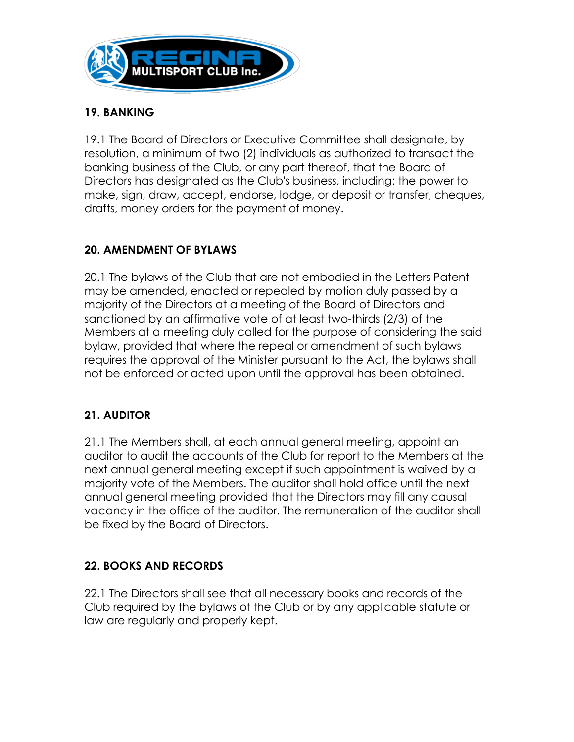

### **19. BANKING**

19.1 The Board of Directors or Executive Committee shall designate, by resolution, a minimum of two (2) individuals as authorized to transact the banking business of the Club, or any part thereof, that the Board of Directors has designated as the Club's business, including: the power to make, sign, draw, accept, endorse, lodge, or deposit or transfer, cheques, drafts, money orders for the payment of money.

# **20. AMENDMENT OF BYLAWS**

20.1 The bylaws of the Club that are not embodied in the Letters Patent may be amended, enacted or repealed by motion duly passed by a majority of the Directors at a meeting of the Board of Directors and sanctioned by an affirmative vote of at least two-thirds (2/3) of the Members at a meeting duly called for the purpose of considering the said bylaw, provided that where the repeal or amendment of such bylaws requires the approval of the Minister pursuant to the Act, the bylaws shall not be enforced or acted upon until the approval has been obtained.

# **21. AUDITOR**

21.1 The Members shall, at each annual general meeting, appoint an auditor to audit the accounts of the Club for report to the Members at the next annual general meeting except if such appointment is waived by a majority vote of the Members. The auditor shall hold office until the next annual general meeting provided that the Directors may fill any causal vacancy in the office of the auditor. The remuneration of the auditor shall be fixed by the Board of Directors.

# **22. BOOKS AND RECORDS**

22.1 The Directors shall see that all necessary books and records of the Club required by the bylaws of the Club or by any applicable statute or law are regularly and properly kept.